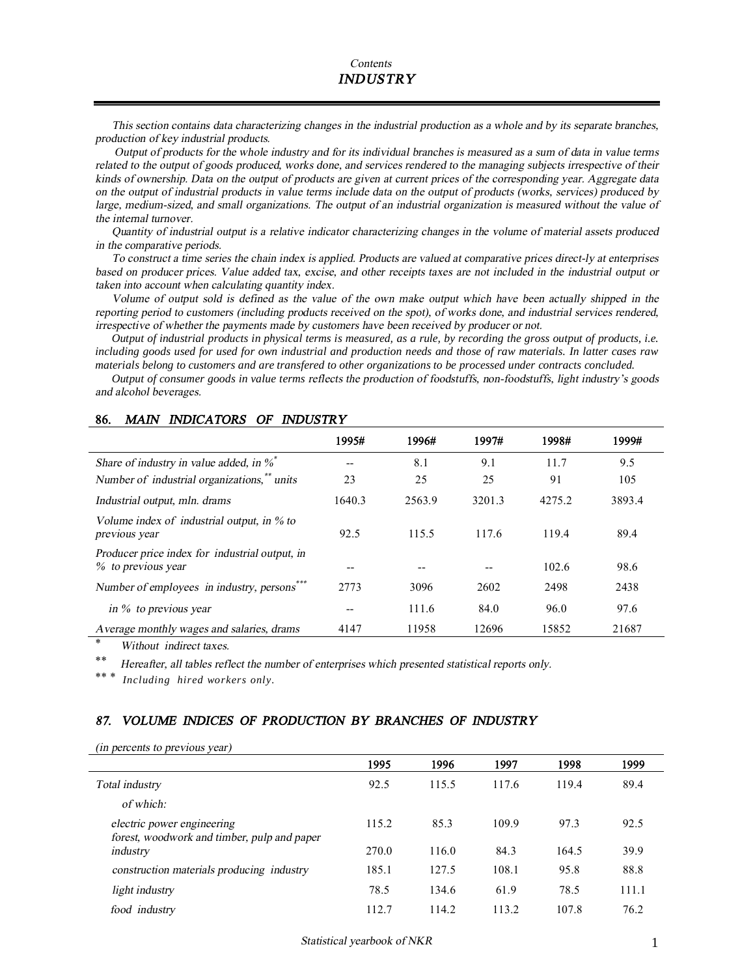This section contains data characterizing changes in the industrial production as a whole and by its separate branches, *production of key industrial products.* 

Output of products for the whole industry and for its individual branches is measured as a sum of data in value terms related to the output of goods produced, works done, and services rendered to the managing subjects irrespective of their kinds of ownership. Data on the output of products are given at current prices of the corresponding year. Aggregate data on the output of industrial products in value terms include data on the output of products (works, services) produced by large, medium-sized, and small organizations. The output of an industrial organization is measured without the value of *the internal turnover.* 

Quantity of industrial output is a relative indicator characterizing changes in the volume of material assets produced *in the comparative periods.* 

To construct a time series the chain index is applied. Products are valued at comparative prices direct-ly at enterprises based on producer prices. Value added tax, excise, and other receipts taxes are not included in the industrial output or *taken into account when calculating quantity index.* 

Volume of output sold is defined as the value of the own make output which have been actually shipped in the reporting period to customers (including products received on the spot), of works done, and industrial services rendered, *irrespective of whether the payments made by customers have been received by producer or not.* 

Output of industrial products in physical terms is measured, as a rule, by recording the gross output of products, i.e. including goods used for used for own industrial and production needs and those of raw materials. In latter cases raw materials belong to customers and are transfered to other organizations to be processed under contracts concluded.

Output of consumer goods in value terms reflects the production of foodstuffs, non-foodstuffs, light industry's goods *and alcohol beverages.* 

|                                                                      | 1995#  | 1996#  | 1997#  | 1998#  | 1999#  |
|----------------------------------------------------------------------|--------|--------|--------|--------|--------|
| Share of industry in value added, in $\%$                            |        | 8.1    | 9.1    | 11.7   | 9.5    |
| Number of industrial organizations, <sup>**</sup> units              | 23     | 25     | 25     | 91     | 105    |
| Industrial output, mln. drams                                        | 1640.3 | 2563.9 | 3201.3 | 4275.2 | 3893.4 |
| Volume index of industrial output, in $\%$ to<br>previous year       | 92.5   | 115.5  | 117.6  | 119.4  | 89.4   |
| Producer price index for industrial output, in<br>% to previous year |        |        |        | 102.6  | 98.6   |
| Number of employees in industry, persons                             | 2773   | 3096   | 2602   | 2498   | 2438   |
| in $\%$ to previous year                                             | --     | 111.6  | 84.0   | 96.0   | 97.6   |
| A verage monthly wages and salaries, drams                           | 4147   | 11958  | 12696  | 15852  | 21687  |

#### **86.** *MAIN INDICATORS OF INDUSTRY*

 $Without$  *indirect taxes.* 

\*\* *Hereafter, all tables reflect the number of enterprises which presented statistical reports only.*

 $Including\,hired\,works\,only.$ 

### *87. VOLUME INDICES OF PRODUCTION BY BRANCHES OF INDUSTRY*

#### *(in percents to previous year)*

|                                                                           | 1995  | 1996  | 1997  | 1998  | 1999  |
|---------------------------------------------------------------------------|-------|-------|-------|-------|-------|
| Total industry                                                            | 92.5  | 115.5 | 117.6 | 119.4 | 89.4  |
| of which:                                                                 |       |       |       |       |       |
| electric power engineering<br>forest, woodwork and timber, pulp and paper | 115.2 | 85.3  | 109.9 | 97.3  | 92.5  |
| industry                                                                  | 270.0 | 116.0 | 84.3  | 164.5 | 39.9  |
| construction materials producing industry                                 | 185.1 | 127.5 | 108.1 | 95.8  | 88.8  |
| light industry                                                            | 78.5  | 134.6 | 61.9  | 78.5  | 111.1 |
| food industry                                                             | 112.7 | 114.2 | 113.2 | 107.8 | 76.2  |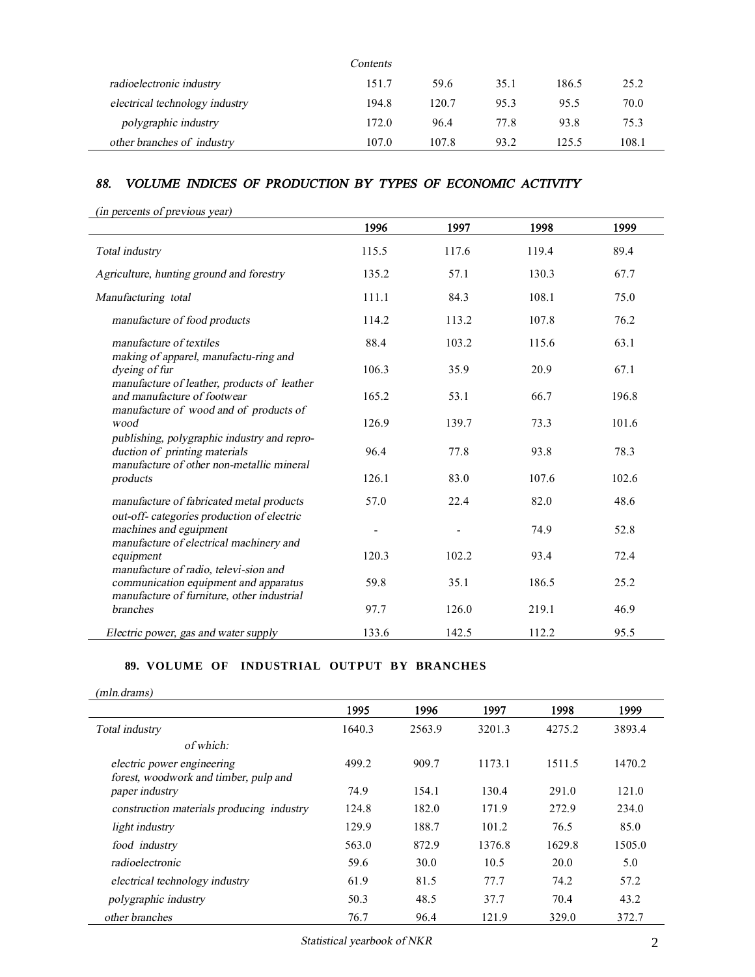|                                | Contents |       |      |       |       |
|--------------------------------|----------|-------|------|-------|-------|
| radioelectronic industry       | 151.7    | 59.6  | 35.1 | 186.5 | 25.2  |
| electrical technology industry | 194.8    | 120.7 | 95.3 | 95.5  | 70.0  |
| polygraphic industry           | 172.0    | 96.4  | 77.8 | 93.8  | 75.3  |
| other branches of industry     | 107.0    | 107.8 | 93.2 | 125.5 | 108.1 |

# *88. VOLUME INDICES OF PRODUCTION BY TYPES OF ECONOMIC ACTIVITY*

| (in percents of previous year) |
|--------------------------------|
|--------------------------------|

|                                                                                                                           | 1996  | 1997  | 1998  | 1999  |
|---------------------------------------------------------------------------------------------------------------------------|-------|-------|-------|-------|
| Total industry                                                                                                            | 115.5 | 117.6 | 119.4 | 89.4  |
| Agriculture, hunting ground and forestry                                                                                  | 135.2 | 57.1  | 130.3 | 67.7  |
| Manufacturing total                                                                                                       | 111.1 | 84.3  | 108.1 | 75.0  |
| manufacture of food products                                                                                              | 114.2 | 113.2 | 107.8 | 76.2  |
| manufacture of textiles<br>making of apparel, manufactu-ring and                                                          | 88.4  | 103.2 | 115.6 | 63.1  |
| dyeing of fur<br>manufacture of leather, products of leather                                                              | 106.3 | 35.9  | 20.9  | 67.1  |
| and manufacture of footwear<br>manufacture of wood and of products of                                                     | 165.2 | 53.1  | 66.7  | 196.8 |
| wood                                                                                                                      | 126.9 | 139.7 | 73.3  | 101.6 |
| publishing, polygraphic industry and repro-<br>duction of printing materials<br>manufacture of other non-metallic mineral | 96.4  | 77.8  | 93.8  | 78.3  |
| products                                                                                                                  | 126.1 | 83.0  | 107.6 | 102.6 |
| manufacture of fabricated metal products<br>out-off-categories production of electric                                     | 57.0  | 22.4  | 82.0  | 48.6  |
| machines and eguipment<br>manufacture of electrical machinery and                                                         |       |       | 74.9  | 52.8  |
| equipment<br>manufacture of radio, televi-sion and                                                                        | 120.3 | 102.2 | 93.4  | 72.4  |
| communication equipment and apparatus<br>manufacture of furniture, other industrial                                       | 59.8  | 35.1  | 186.5 | 25.2  |
| branches                                                                                                                  | 97.7  | 126.0 | 219.1 | 46.9  |
| Electric power, gas and water supply                                                                                      | 133.6 | 142.5 | 112.2 | 95.5  |

# **89. VOLUME OF INDUSTRIAL OUTPUT BY BRANCHES**

|                                           | 1995   | 1996   | 1997   | 1998   | 1999   |
|-------------------------------------------|--------|--------|--------|--------|--------|
| Total industry                            | 1640.3 | 2563.9 | 3201.3 | 4275.2 | 3893.4 |
| of which:                                 |        |        |        |        |        |
| electric power engineering                | 499.2  | 909.7  | 1173.1 | 1511.5 | 1470.2 |
| forest, woodwork and timber, pulp and     |        |        |        |        |        |
| paper industry                            | 74.9   | 154.1  | 130.4  | 291.0  | 121.0  |
| construction materials producing industry | 124.8  | 182.0  | 171.9  | 272.9  | 234.0  |
| light industry                            | 129.9  | 188.7  | 101.2  | 76.5   | 85.0   |
| food industry                             | 563.0  | 872.9  | 1376.8 | 1629.8 | 1505.0 |
| radioelectronic                           | 59.6   | 30.0   | 10.5   | 20.0   | 5.0    |
| electrical technology industry            | 61.9   | 81.5   | 77.7   | 74.2   | 57.2   |
| polygraphic industry                      | 50.3   | 48.5   | 37.7   | 70.4   | 43.2   |
| other branches                            | 76.7   | 96.4   | 121.9  | 329.0  | 372.7  |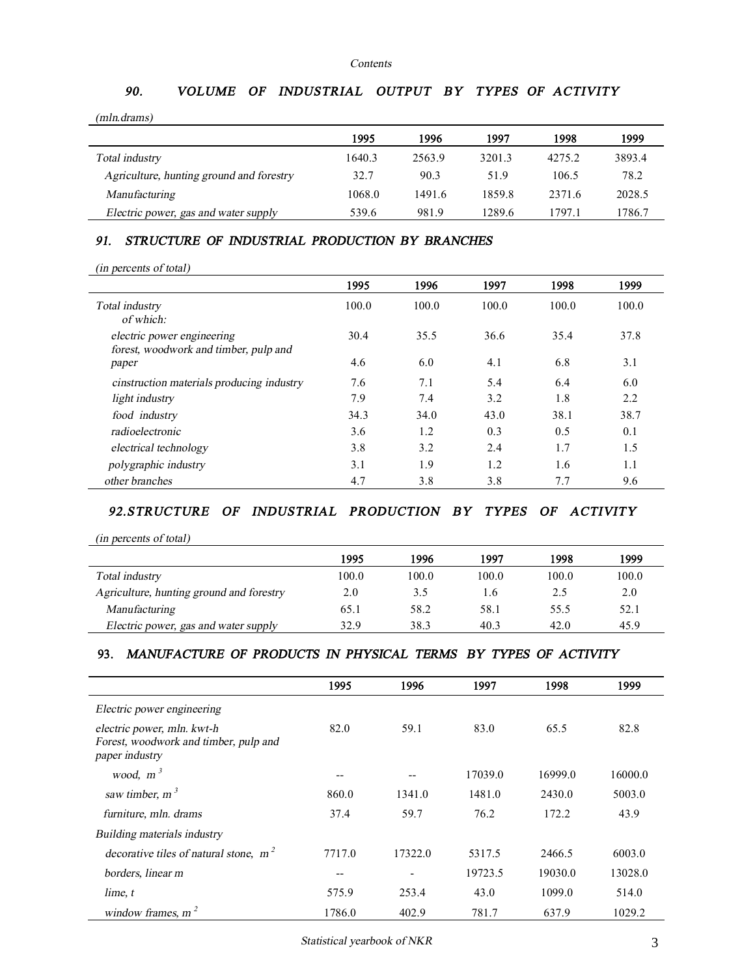#### *Contents*

# *90. VOLUME OF INDUSTRIAL OUTPUT BY TYPES OF ACTIVITY*

*(mln.drams)*

|                                          | 1995   | 1996   | 1997   | 1998   | 1999   |
|------------------------------------------|--------|--------|--------|--------|--------|
| Total industry                           | 1640.3 | 2563.9 | 3201.3 | 4275.2 | 3893.4 |
| Agriculture, hunting ground and forestry | 32.7   | 90.3   | 51.9   | 106.5  | 78.2   |
| Manufacturing                            | 1068.0 | 1491.6 | 1859.8 | 2371.6 | 2028.5 |
| Electric power, gas and water supply     | 539.6  | 981.9  | 1289.6 | 1797.1 | 1786.7 |

# *91. STRUCTURE OF INDUSTRIAL PRODUCTION BY BRANCHES*

|  | (in percents of total) |  |
|--|------------------------|--|
|--|------------------------|--|

|                                                                     | 1995  | 1996  | 1997  | 1998  | 1999  |
|---------------------------------------------------------------------|-------|-------|-------|-------|-------|
| Total industry<br>of which:                                         | 100.0 | 100.0 | 100.0 | 100.0 | 100.0 |
| electric power engineering<br>forest, woodwork and timber, pulp and | 30.4  | 35.5  | 36.6  | 35.4  | 37.8  |
| paper                                                               | 4.6   | 6.0   | 4.1   | 6.8   | 3.1   |
| cinstruction materials producing industry                           | 7.6   | 7.1   | 5.4   | 6.4   | 6.0   |
| light industry                                                      | 7.9   | 7.4   | 3.2   | 1.8   | 2.2   |
| food industry                                                       | 34.3  | 34.0  | 43.0  | 38.1  | 38.7  |
| radioelectronic                                                     | 3.6   | 1.2   | 0.3   | 0.5   | 0.1   |
| electrical technology                                               | 3.8   | 3.2   | 2.4   | 1.7   | 1.5   |
| polygraphic industry                                                | 3.1   | 1.9   | 1.2   | 1.6   | 1.1   |
| other branches                                                      | 4.7   | 3.8   | 3.8   | 7.7   | 9.6   |

## *92.STRUCTURE OF INDUSTRIAL PRODUCTION BY TYPES OF ACTIVITY*

*(in percents of total)*

|                                          | 1995  | 1996  | 1997  | 1998  | 1999  |
|------------------------------------------|-------|-------|-------|-------|-------|
| Total industry                           | 100.0 | 100.0 | 100.0 | 100.0 | 100.0 |
| Agriculture, hunting ground and forestry | 2.0   | 3.5   | 1.6   | 2.5   | 2.0   |
| Manufacturing                            | 65.1  | 58.2  | 58.1  | 55.5  | 52.1  |
| Electric power, gas and water supply     | 32.9  | 38.3  | 40.3  | 42.0  | 45.9  |

# **93.** *MANUFACTURE OF PRODUCTS IN PHYSICAL TERMS BY TYPES OF ACTIVITY*

|                                                                                       | 1995   | 1996    | 1997    | 1998    | 1999    |
|---------------------------------------------------------------------------------------|--------|---------|---------|---------|---------|
| Electric power engineering                                                            |        |         |         |         |         |
| electric power, mln. kwt-h<br>Forest, woodwork and timber, pulp and<br>paper industry | 82.0   | 59.1    | 83.0    | 65.5    | 82.8    |
| wood, $m^3$                                                                           | --     |         | 17039.0 | 16999.0 | 16000.0 |
| saw timber, $m3$                                                                      | 860.0  | 1341.0  | 1481.0  | 2430.0  | 5003.0  |
| furniture, mln. drams                                                                 | 37.4   | 59.7    | 76.2    | 172.2   | 43.9    |
| Building materials industry                                                           |        |         |         |         |         |
| decorative tiles of natural stone, $m2$                                               | 7717.0 | 17322.0 | 5317.5  | 2466.5  | 6003.0  |
| borders, linear m                                                                     | $- -$  |         | 19723.5 | 19030.0 | 13028.0 |
| lime, t                                                                               | 575.9  | 253.4   | 43.0    | 1099.0  | 514.0   |
| window frames, $m2$                                                                   | 1786.0 | 402.9   | 781.7   | 637.9   | 1029.2  |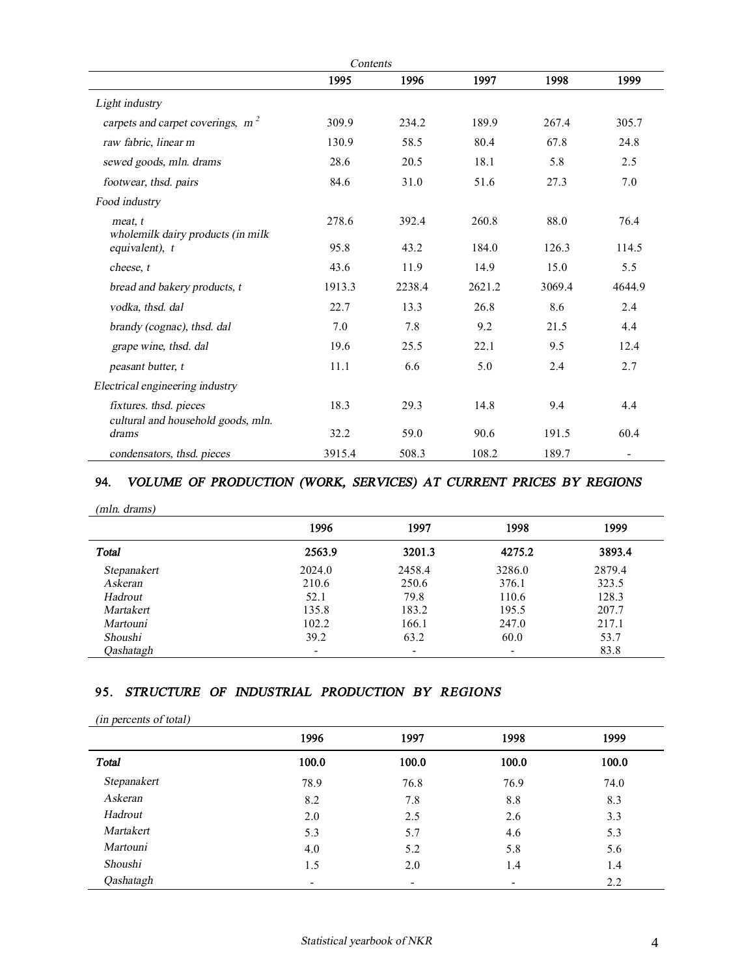| Contents                                            |        |        |        |        |        |
|-----------------------------------------------------|--------|--------|--------|--------|--------|
|                                                     | 1995   | 1996   | 1997   | 1998   | 1999   |
| Light industry                                      |        |        |        |        |        |
| carpets and carpet coverings, $m2$                  | 309.9  | 234.2  | 189.9  | 267.4  | 305.7  |
| raw fabric, linear m                                | 130.9  | 58.5   | 80.4   | 67.8   | 24.8   |
| sewed goods, mln. drams                             | 28.6   | 20.5   | 18.1   | 5.8    | 2.5    |
| footwear, thsd. pairs                               | 84.6   | 31.0   | 51.6   | 27.3   | 7.0    |
| Food industry                                       |        |        |        |        |        |
| meat, t                                             | 278.6  | 392.4  | 260.8  | 88.0   | 76.4   |
| wholemilk dairy products (in milk<br>equivalent), t | 95.8   | 43.2   | 184.0  | 126.3  | 114.5  |
| cheese, t                                           | 43.6   | 11.9   | 14.9   | 15.0   | 5.5    |
| bread and bakery products, t                        | 1913.3 | 2238.4 | 2621.2 | 3069.4 | 4644.9 |
| vodka, thsd. dal                                    | 22.7   | 13.3   | 26.8   | 8.6    | 2.4    |
| brandy (cognac), thsd. dal                          | 7.0    | 7.8    | 9.2    | 21.5   | 4.4    |
| grape wine, thsd. dal                               | 19.6   | 25.5   | 22.1   | 9.5    | 12.4   |
| peasant butter, t                                   | 11.1   | 6.6    | 5.0    | 2.4    | 2.7    |
| Electrical engineering industry                     |        |        |        |        |        |
| fixtures. thsd. pieces                              | 18.3   | 29.3   | 14.8   | 9.4    | 4.4    |
| cultural and household goods, mln.<br>drams         | 32.2   | 59.0   | 90.6   | 191.5  | 60.4   |
| condensators, thsd. pieces                          | 3915.4 | 508.3  | 108.2  | 189.7  |        |

## **94.** *VOLUME OF PRODUCTION (WORK, SERVICES) AT CURRENT PRICES BY REGIONS*

#### *(mln. drams)*

|             | 1996   | 1997   | 1998   | 1999   |
|-------------|--------|--------|--------|--------|
| Total       | 2563.9 | 3201.3 | 4275.2 | 3893.4 |
| Stepanakert | 2024.0 | 2458.4 | 3286.0 | 2879.4 |
| Askeran     | 210.6  | 250.6  | 376.1  | 323.5  |
| Hadrout     | 52.1   | 79.8   | 110.6  | 128.3  |
| Martakert   | 135.8  | 183.2  | 195.5  | 207.7  |
| Martouni    | 102.2  | 166.1  | 247.0  | 217.1  |
| Shoushi     | 39.2   | 63.2   | 60.0   | 53.7   |
| Oashatagh   |        |        |        | 83.8   |

### **95.** *STRUCTURE OF INDUSTRIAL PRODUCTION BY REGIONS*

*(in percents of total)*

| $\mathbf{r}$ and $\mathbf{r}$ and $\mathbf{r}$ are $\mathbf{r}$ and $\mathbf{r}$ | 1996  | 1997  | 1998  | 1999  |
|----------------------------------------------------------------------------------|-------|-------|-------|-------|
| <b>Total</b>                                                                     | 100.0 | 100.0 | 100.0 | 100.0 |
| Stepanakert                                                                      | 78.9  | 76.8  | 76.9  | 74.0  |
| Askeran                                                                          | 8.2   | 7.8   | 8.8   | 8.3   |
| Hadrout                                                                          | 2.0   | 2.5   | 2.6   | 3.3   |
| Martakert                                                                        | 5.3   | 5.7   | 4.6   | 5.3   |
| Martouni                                                                         | 4.0   | 5.2   | 5.8   | 5.6   |
| Shoushi                                                                          | 1.5   | 2.0   | 1.4   | 1.4   |
| Qashatagh                                                                        | -     | -     |       | 2.2   |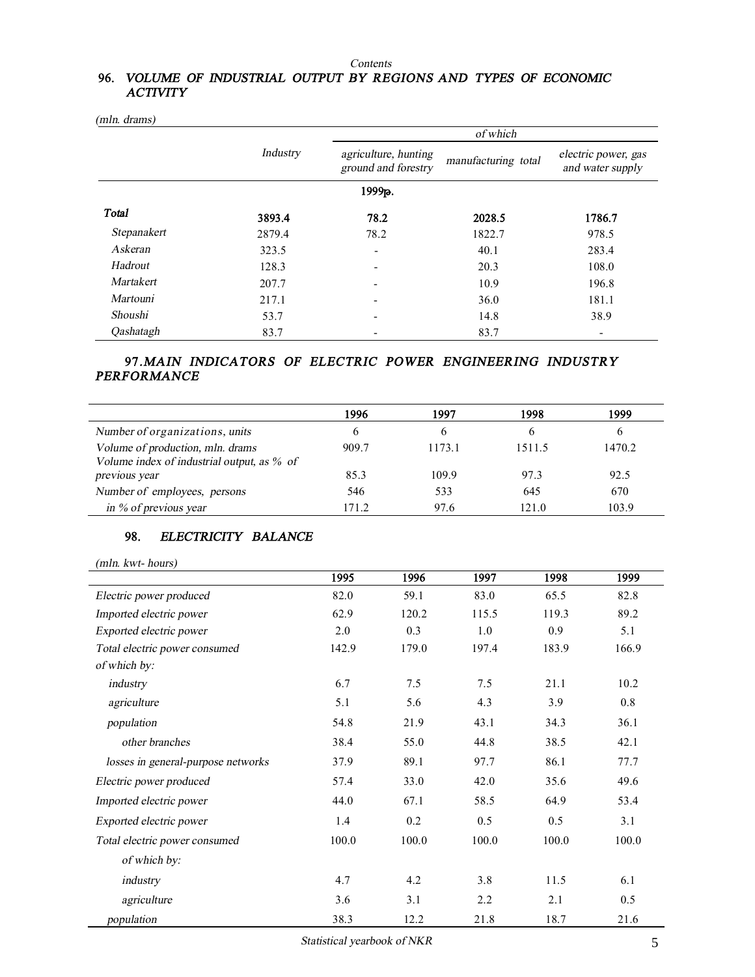#### *Contents*

## **96.** *VOLUME OF INDUSTRIAL OUTPUT BY REGIONS AND TYPES OF ECONOMIC ACTIVITY*

|             |                 |                                             | of which            |                                         |
|-------------|-----------------|---------------------------------------------|---------------------|-----------------------------------------|
|             | <b>Industry</b> | agriculture, hunting<br>ground and forestry | manufacturing total | electric power, gas<br>and water supply |
|             |                 | 1999 <sub>р</sub> .                         |                     |                                         |
| Total       | 3893.4          | 78.2                                        | 2028.5              | 1786.7                                  |
| Stepanakert | 2879.4          | 78.2                                        | 1822.7              | 978.5                                   |
| Askeran     | 323.5           | ۰                                           | 40.1                | 283.4                                   |
| Hadrout     | 128.3           | $\overline{\phantom{0}}$                    | 20.3                | 108.0                                   |
| Martakert   | 207.7           |                                             | 10.9                | 196.8                                   |
| Martouni    | 217.1           |                                             | 36.0                | 181.1                                   |
| Shoushi     | 53.7            | -                                           | 14.8                | 38.9                                    |
| Oashatagh   | 83.7            |                                             | 83.7                |                                         |

 *(mln. drams)*

# **97***.MAIN INDICATORS OF ELECTRIC POWER ENGINEERING INDUSTRY PERFORMANCE*

|                                                                                | 1996  | 1997   | 1998         | 1999         |
|--------------------------------------------------------------------------------|-------|--------|--------------|--------------|
| Number of organizations, units                                                 | 6     | 6      | <sub>b</sub> | <sub>0</sub> |
| Volume of production, mln. drams<br>Volume index of industrial output, as % of | 909.7 | 1173.1 | 1511.5       | 1470.2       |
| previous year                                                                  | 85.3  | 109.9  | 97.3         | 92.5         |
| Number of employees, persons                                                   | 546   | 533    | 645          | 670          |
| in % of previous year                                                          | 171.2 | 97.6   | 121.0        | 103.9        |

# **98.** *ELECTRICITY BALANCE*

| (mln. kwt- hours) |
|-------------------|
|                   |

|                                    | 1995  | 1996  | 1997  | 1998  | 1999  |
|------------------------------------|-------|-------|-------|-------|-------|
| Electric power produced            | 82.0  | 59.1  | 83.0  | 65.5  | 82.8  |
| Imported electric power            | 62.9  | 120.2 | 115.5 | 119.3 | 89.2  |
| Exported electric power            | 2.0   | 0.3   | 1.0   | 0.9   | 5.1   |
| Total electric power consumed      | 142.9 | 179.0 | 197.4 | 183.9 | 166.9 |
| of which by:                       |       |       |       |       |       |
| industry                           | 6.7   | 7.5   | 7.5   | 21.1  | 10.2  |
| agriculture                        | 5.1   | 5.6   | 4.3   | 3.9   | 0.8   |
| population                         | 54.8  | 21.9  | 43.1  | 34.3  | 36.1  |
| other branches                     | 38.4  | 55.0  | 44.8  | 38.5  | 42.1  |
| losses in general-purpose networks | 37.9  | 89.1  | 97.7  | 86.1  | 77.7  |
| Electric power produced            | 57.4  | 33.0  | 42.0  | 35.6  | 49.6  |
| Imported electric power            | 44.0  | 67.1  | 58.5  | 64.9  | 53.4  |
| Exported electric power            | 1.4   | 0.2   | 0.5   | 0.5   | 3.1   |
| Total electric power consumed      | 100.0 | 100.0 | 100.0 | 100.0 | 100.0 |
| of which by:                       |       |       |       |       |       |
| industry                           | 4.7   | 4.2   | 3.8   | 11.5  | 6.1   |
| agriculture                        | 3.6   | 3.1   | 2.2   | 2.1   | 0.5   |
| population                         | 38.3  | 12.2  | 21.8  | 18.7  | 21.6  |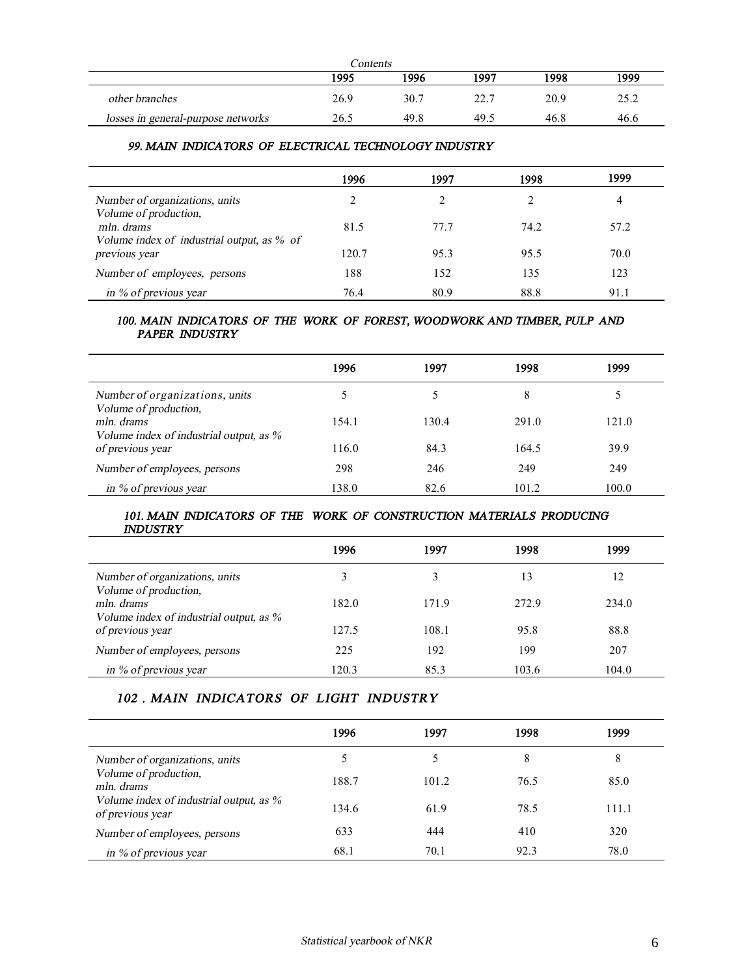| Contents                           |      |      |      |      |      |
|------------------------------------|------|------|------|------|------|
|                                    | 1995 | 1996 | 1997 | 1998 | 1999 |
| other branches                     | 26.9 | 30.7 | 22.7 | 20.9 | 25.2 |
| losses in general-purpose networks | 26.5 | 49.8 | 49.5 | 46.8 | 46.6 |

### *99. MAIN INDICATORS OF ELECTRICAL TECHNOLOGY INDUSTRY*

|                                                             | 1996  | 1997 | 1998 | 1999 |
|-------------------------------------------------------------|-------|------|------|------|
| Number of organizations, units                              |       |      |      | 4    |
| Volume of production,<br>mln. drams                         | 81.5  | 77.7 | 74.2 | 57.2 |
| Volume index of industrial output, as % of<br>previous year | 120.7 | 95.3 | 95.5 | 70.0 |
| Number of employees, persons                                | 188   | 152  | 135  | 123  |
| in % of previous year                                       | 76.4  | 80.9 | 88.8 | 91.1 |

### 100. MAIN INDICATORS OF THE WORK OF FOREST, WOODWORK AND TIMBER, PULP AND *PAPER INDUSTRY*

|                                                         | 1996  | 1997  | 1998  | 1999  |
|---------------------------------------------------------|-------|-------|-------|-------|
| Number of organizations, units<br>Volume of production, |       | 5     | 8     |       |
| mln. drams<br>Volume index of industrial output, as %   | 154.1 | 130.4 | 291.0 | 121.0 |
| of previous year                                        | 116.0 | 84.3  | 164.5 | 39.9  |
| Number of employees, persons                            | 298   | 246   | 249   | 249   |
| in $\%$ of previous year                                | 138.0 | 82.6  | 101.2 | 100.0 |

### 101. MAIN INDICATORS OF THE WORK OF CONSTRUCTION MATERIALS PRODUCING *INDUSTRY*

|                                                             | 1996  | 1997  | 1998  | 1999  |
|-------------------------------------------------------------|-------|-------|-------|-------|
| Number of organizations, units<br>Volume of production,     |       |       | 13    | 12    |
| mln. drams                                                  | 182.0 | 171.9 | 272.9 | 234.0 |
| Volume index of industrial output, as %<br>of previous year | 127.5 | 108.1 | 95.8  | 88.8  |
| Number of employees, persons                                | 225   | 192   | 199   | 207   |
| in % of previous year                                       | 120.3 | 85.3  | 103.6 | 104.0 |

# *102 . MAIN INDICATORS OF LIGHT INDUSTRY*

|                                                                                                    | 1996  | 1997  | 1998 | 1999  |
|----------------------------------------------------------------------------------------------------|-------|-------|------|-------|
| Number of organizations, units                                                                     |       |       | 8    | 8     |
| Volume of production,<br>mln. drams<br>Volume index of industrial output, as %<br>of previous year | 188.7 | 101.2 | 76.5 | 85.0  |
|                                                                                                    | 134.6 | 61.9  | 78.5 | 111.1 |
| Number of employees, persons                                                                       | 633   | 444   | 410  | 320   |
| in % of previous year                                                                              | 68.1  | 70.1  | 92.3 | 78.0  |